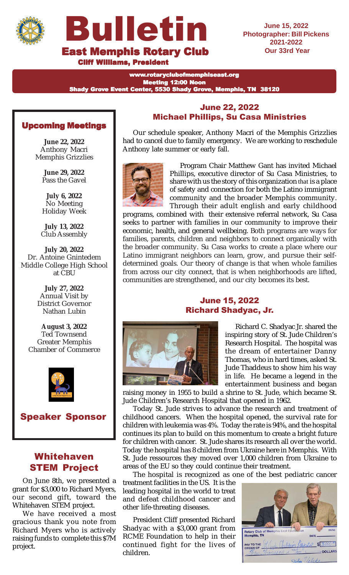



**Cliff Williams, President** 

**June 15, 2022 Photographer: Bill Pickens Our 33rd Year**

www.rotaryclubofmemphiseast.org Meeting 12:00 Noon Shady Grove Event Center, 5530 Shady Grove, Memphis, TN 38120

## Upcoming Meetings

**June 22, 2022** Anthony Macri Memphis Grizzlies

> **June 29, 2022** Pass the Gavel

**July 6, 2022** No Meeting Holiday Week

**July 13, 2022** Club Assembly

**July 20, 2022** Dr. Antoine Gnintedem Middle College High School at CBU

> **July 27, 2022** Annual Visit by District Governor Nathan Lubin

**August 3, 2022** Ted Townsend Greater Memphis Chamber of Commerce



Speaker Sponsor

## Whitehaven STEM Project

On June 8th, we presented a grant for \$3,000 to Richard Myers, our second gift, toward the Whitehaven STEM project.

We have received a most gracious thank you note from Richard Myers who is actively raising funds to complete this \$7M project.

## June 22, 2022 Michael Phillips, Su Casa Ministries

Our schedule speaker, Anthony Macri of the Memphis Grizzlies had to cancel due to family emergency. We are working to reschedule Anthony late summer or early fall.



share with us the story of this organization that is a place of safety and connection for both the Latino immigrant community and the broader Memphis community. Through their adult english and early childhood Program Chair Matthew Gant has invited Michael Phillips, executive director of Su Casa Ministries, to

programs, combined with their extensive referral network, Su Casa seeks to partner with families in our community to improve their economic, health, and general wellbeing. Both programs are ways for families, parents, children and neighbors to connect organically with the broader community. Su Casa works to create a place where our Latino immigrant neighbors can learn, grow, and pursue their selfdetermined goals. Our theory of change is that when whole families from across our city connect, that is when neighborhoods are lifted, communities are strengthened, and our city becomes its best.

## June 15, 2022 Richard Shadyac, Jr.



Richard C. Shadyac Jr. shared the inspiring story of St. Jude Children's Research Hospital. The hospital was the dream of entertainer Danny Thomas, who in hard times, asked St. Jude Thaddeus to show him his way in life. He became a legend in the entertainment business and began

raising money in 1955 to build a shrine to St. Jude, which became St. Jude Children's Research Hospital that opened in 1962.

Today St. Jude strives to advance the research and treatment of childhood cancers. When the hospital opened, the survival rate for children with leukemia was 4%. Today the rate is 94%, and the hospital continues its plan to build on this momentum to create a bright future for children with cancer. St. Jude shares its research all over the world. Today the hospital has 8 children from Ukraine here in Memphis. With St. Jude ressources they moved over 1,000 children from Ukraine to areas of the EU so they could continue their treatment.

The hospital is recognized as one of the best pediatric cancer

treatment facilities in the US. It is the leading hospital in the world to treat and defeat childhood cancer and other life-threating diseases.

President Cliff presented Richard Shadyac with a \$3,000 grant from RCME Foundation to help in their continued fight for the lives of children.